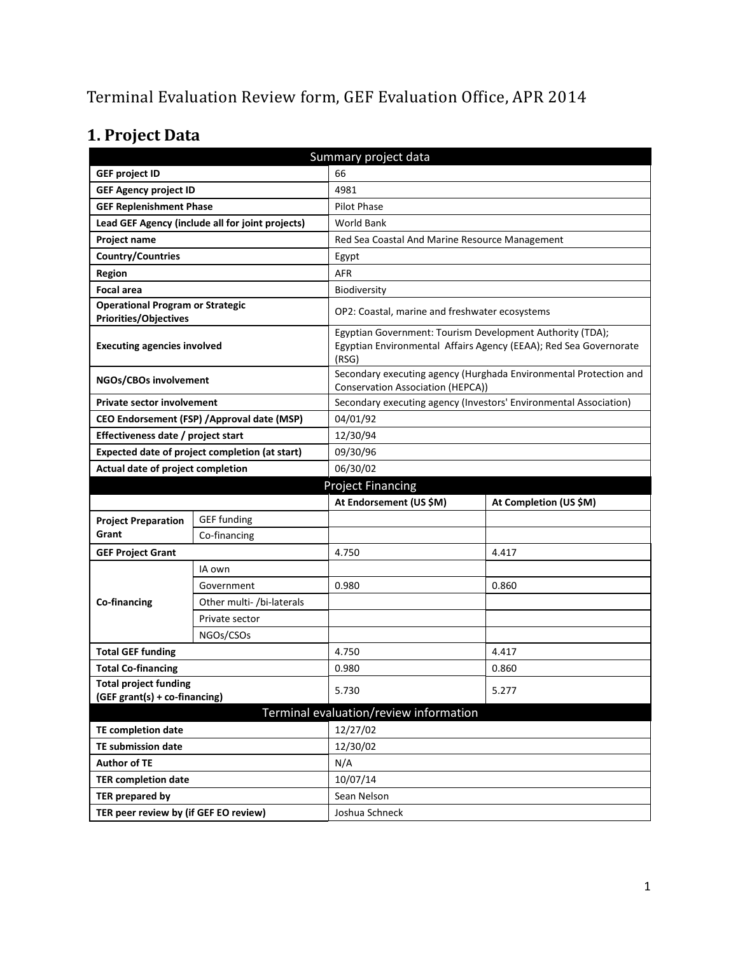# Terminal Evaluation Review form, GEF Evaluation Office, APR 2014

# **1. Project Data**

| Summary project data                                                    |                                                |                                                |                                                                                                                                |  |
|-------------------------------------------------------------------------|------------------------------------------------|------------------------------------------------|--------------------------------------------------------------------------------------------------------------------------------|--|
| <b>GEF project ID</b>                                                   |                                                | 66                                             |                                                                                                                                |  |
| <b>GEF Agency project ID</b>                                            |                                                | 4981                                           |                                                                                                                                |  |
| <b>GEF Replenishment Phase</b>                                          |                                                | <b>Pilot Phase</b>                             |                                                                                                                                |  |
| Lead GEF Agency (include all for joint projects)                        |                                                | <b>World Bank</b>                              |                                                                                                                                |  |
| Project name                                                            |                                                | Red Sea Coastal And Marine Resource Management |                                                                                                                                |  |
| <b>Country/Countries</b>                                                |                                                | Egypt                                          |                                                                                                                                |  |
| Region                                                                  |                                                | AFR                                            |                                                                                                                                |  |
| <b>Focal area</b>                                                       |                                                | Biodiversity                                   |                                                                                                                                |  |
| <b>Operational Program or Strategic</b><br><b>Priorities/Objectives</b> |                                                | OP2: Coastal, marine and freshwater ecosystems |                                                                                                                                |  |
| <b>Executing agencies involved</b>                                      |                                                | (RSG)                                          | Egyptian Government: Tourism Development Authority (TDA);<br>Egyptian Environmental Affairs Agency (EEAA); Red Sea Governorate |  |
| NGOs/CBOs involvement                                                   |                                                | Conservation Association (HEPCA))              | Secondary executing agency (Hurghada Environmental Protection and                                                              |  |
| <b>Private sector involvement</b>                                       |                                                |                                                | Secondary executing agency (Investors' Environmental Association)                                                              |  |
|                                                                         | CEO Endorsement (FSP) / Approval date (MSP)    | 04/01/92                                       |                                                                                                                                |  |
| Effectiveness date / project start                                      |                                                | 12/30/94                                       |                                                                                                                                |  |
|                                                                         | Expected date of project completion (at start) | 09/30/96                                       |                                                                                                                                |  |
| Actual date of project completion                                       |                                                | 06/30/02                                       |                                                                                                                                |  |
| <b>Project Financing</b>                                                |                                                |                                                |                                                                                                                                |  |
|                                                                         |                                                |                                                |                                                                                                                                |  |
|                                                                         |                                                | At Endorsement (US \$M)                        | At Completion (US \$M)                                                                                                         |  |
| <b>Project Preparation</b>                                              | <b>GEF</b> funding                             |                                                |                                                                                                                                |  |
| Grant                                                                   | Co-financing                                   |                                                |                                                                                                                                |  |
| <b>GEF Project Grant</b>                                                |                                                | 4.750                                          | 4.417                                                                                                                          |  |
|                                                                         | IA own                                         |                                                |                                                                                                                                |  |
|                                                                         | Government                                     | 0.980                                          | 0.860                                                                                                                          |  |
| Co-financing                                                            | Other multi- /bi-laterals                      |                                                |                                                                                                                                |  |
|                                                                         | Private sector                                 |                                                |                                                                                                                                |  |
|                                                                         | NGOs/CSOs                                      |                                                |                                                                                                                                |  |
| <b>Total GEF funding</b>                                                |                                                | 4.750                                          | 4.417                                                                                                                          |  |
| <b>Total Co-financing</b>                                               |                                                | 0.980                                          | 0.860                                                                                                                          |  |
| <b>Total project funding</b><br>(GEF grant(s) + co-financing)           |                                                | 5.730                                          | 5.277                                                                                                                          |  |
|                                                                         |                                                | Terminal evaluation/review information         |                                                                                                                                |  |
| <b>TE completion date</b>                                               |                                                | 12/27/02                                       |                                                                                                                                |  |
| <b>TE submission date</b>                                               |                                                | 12/30/02                                       |                                                                                                                                |  |
| <b>Author of TE</b>                                                     |                                                | N/A                                            |                                                                                                                                |  |
| <b>TER completion date</b>                                              |                                                | 10/07/14                                       |                                                                                                                                |  |
| <b>TER prepared by</b>                                                  |                                                | Sean Nelson                                    |                                                                                                                                |  |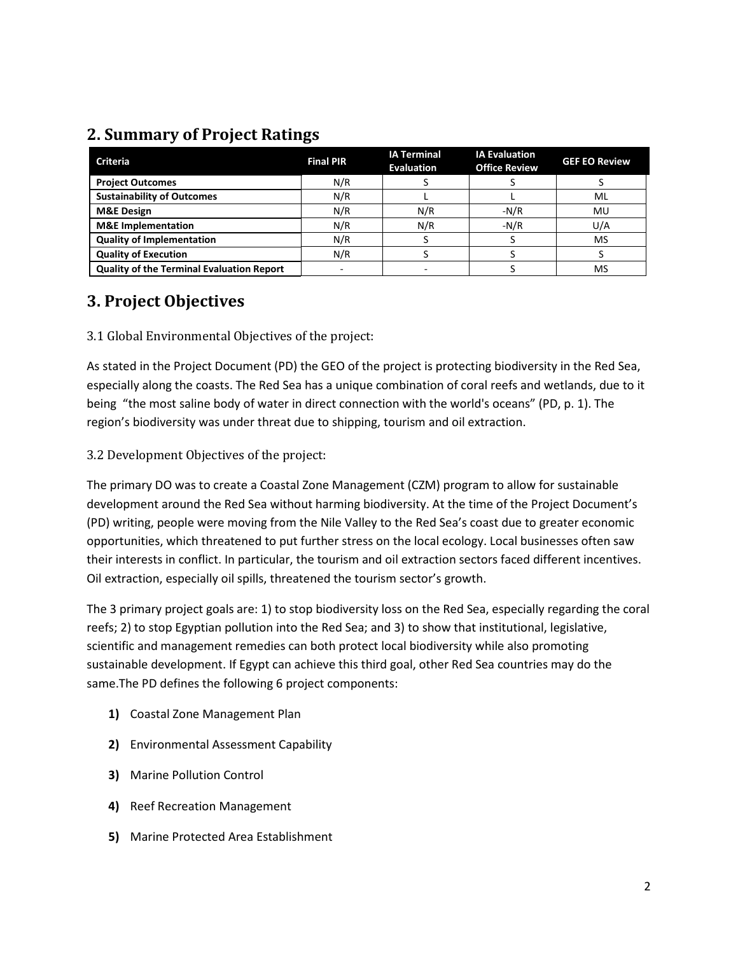## **2. Summary of Project Ratings**

| <b>Criteria</b>                           | <b>Final PIR</b> | <b>IA Terminal</b><br><b>Evaluation</b> | <b>IA Evaluation</b><br><b>Office Review</b> | <b>GEF EO Review</b> |
|-------------------------------------------|------------------|-----------------------------------------|----------------------------------------------|----------------------|
| <b>Project Outcomes</b>                   | N/R              |                                         |                                              |                      |
| <b>Sustainability of Outcomes</b>         | N/R              |                                         |                                              | ML                   |
| <b>M&amp;E Design</b>                     | N/R              | N/R                                     | $-N/R$                                       | MU                   |
| <b>M&amp;E</b> Implementation             | N/R              | N/R                                     | $-N/R$                                       | U/A                  |
| <b>Quality of Implementation</b>          | N/R              |                                         |                                              | <b>MS</b>            |
| <b>Quality of Execution</b>               | N/R              |                                         |                                              |                      |
| Quality of the Terminal Evaluation Report |                  |                                         |                                              | <b>MS</b>            |

### **3. Project Objectives**

3.1 Global Environmental Objectives of the project:

As stated in the Project Document (PD) the GEO of the project is protecting biodiversity in the Red Sea, especially along the coasts. The Red Sea has a unique combination of coral reefs and wetlands, due to it being "the most saline body of water in direct connection with the world's oceans" (PD, p. 1). The region's biodiversity was under threat due to shipping, tourism and oil extraction.

### 3.2 Development Objectives of the project:

The primary DO was to create a Coastal Zone Management (CZM) program to allow for sustainable development around the Red Sea without harming biodiversity. At the time of the Project Document's (PD) writing, people were moving from the Nile Valley to the Red Sea's coast due to greater economic opportunities, which threatened to put further stress on the local ecology. Local businesses often saw their interests in conflict. In particular, the tourism and oil extraction sectors faced different incentives. Oil extraction, especially oil spills, threatened the tourism sector's growth.

The 3 primary project goals are: 1) to stop biodiversity loss on the Red Sea, especially regarding the coral reefs; 2) to stop Egyptian pollution into the Red Sea; and 3) to show that institutional, legislative, scientific and management remedies can both protect local biodiversity while also promoting sustainable development. If Egypt can achieve this third goal, other Red Sea countries may do the same.The PD defines the following 6 project components:

- **1)** Coastal Zone Management Plan
- **2)** Environmental Assessment Capability
- **3)** Marine Pollution Control
- **4)** Reef Recreation Management
- **5)** Marine Protected Area Establishment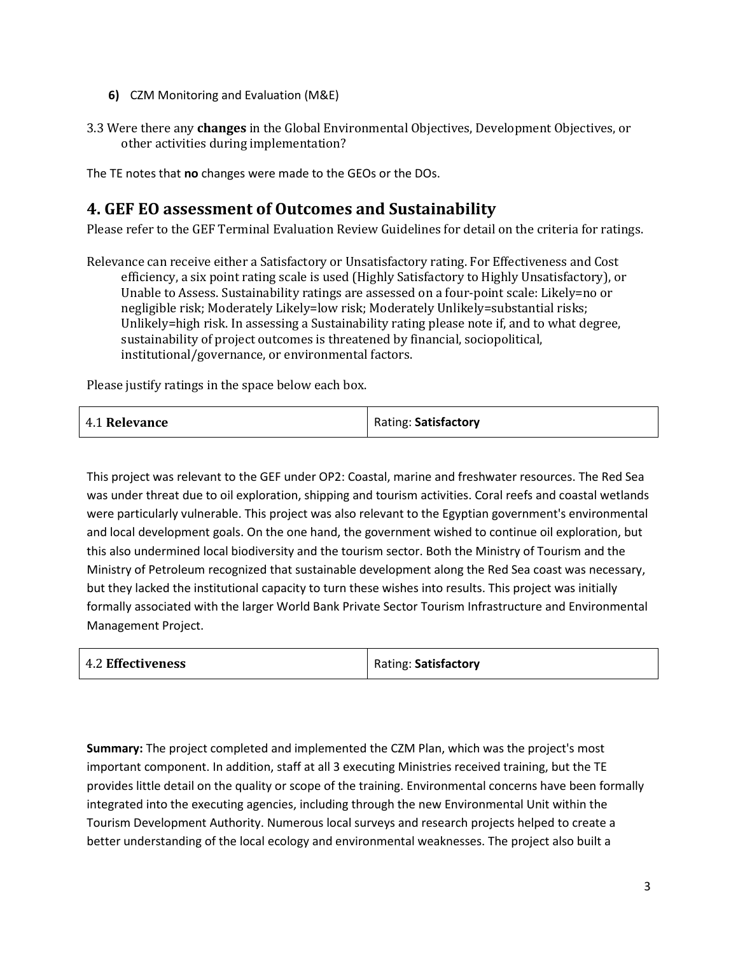- **6)** CZM Monitoring and Evaluation (M&E)
- 3.3 Were there any **changes** in the Global Environmental Objectives, Development Objectives, or other activities during implementation?

The TE notes that **no** changes were made to the GEOs or the DOs.

### **4. GEF EO assessment of Outcomes and Sustainability**

Please refer to the GEF Terminal Evaluation Review Guidelines for detail on the criteria for ratings.

Relevance can receive either a Satisfactory or Unsatisfactory rating. For Effectiveness and Cost efficiency, a six point rating scale is used (Highly Satisfactory to Highly Unsatisfactory), or Unable to Assess. Sustainability ratings are assessed on a four-point scale: Likely=no or negligible risk; Moderately Likely=low risk; Moderately Unlikely=substantial risks; Unlikely=high risk. In assessing a Sustainability rating please note if, and to what degree, sustainability of project outcomes is threatened by financial, sociopolitical, institutional/governance, or environmental factors.

Please justify ratings in the space below each box.

| 4.1 Relevance | Rating: Satisfactory |
|---------------|----------------------|
|               |                      |

This project was relevant to the GEF under OP2: Coastal, marine and freshwater resources. The Red Sea was under threat due to oil exploration, shipping and tourism activities. Coral reefs and coastal wetlands were particularly vulnerable. This project was also relevant to the Egyptian government's environmental and local development goals. On the one hand, the government wished to continue oil exploration, but this also undermined local biodiversity and the tourism sector. Both the Ministry of Tourism and the Ministry of Petroleum recognized that sustainable development along the Red Sea coast was necessary, but they lacked the institutional capacity to turn these wishes into results. This project was initially formally associated with the larger World Bank Private Sector Tourism Infrastructure and Environmental Management Project.

| <b>4.2 Effectiveness</b> | Rating: Satisfactory |
|--------------------------|----------------------|
|                          |                      |

**Summary:** The project completed and implemented the CZM Plan, which was the project's most important component. In addition, staff at all 3 executing Ministries received training, but the TE provides little detail on the quality or scope of the training. Environmental concerns have been formally integrated into the executing agencies, including through the new Environmental Unit within the Tourism Development Authority. Numerous local surveys and research projects helped to create a better understanding of the local ecology and environmental weaknesses. The project also built a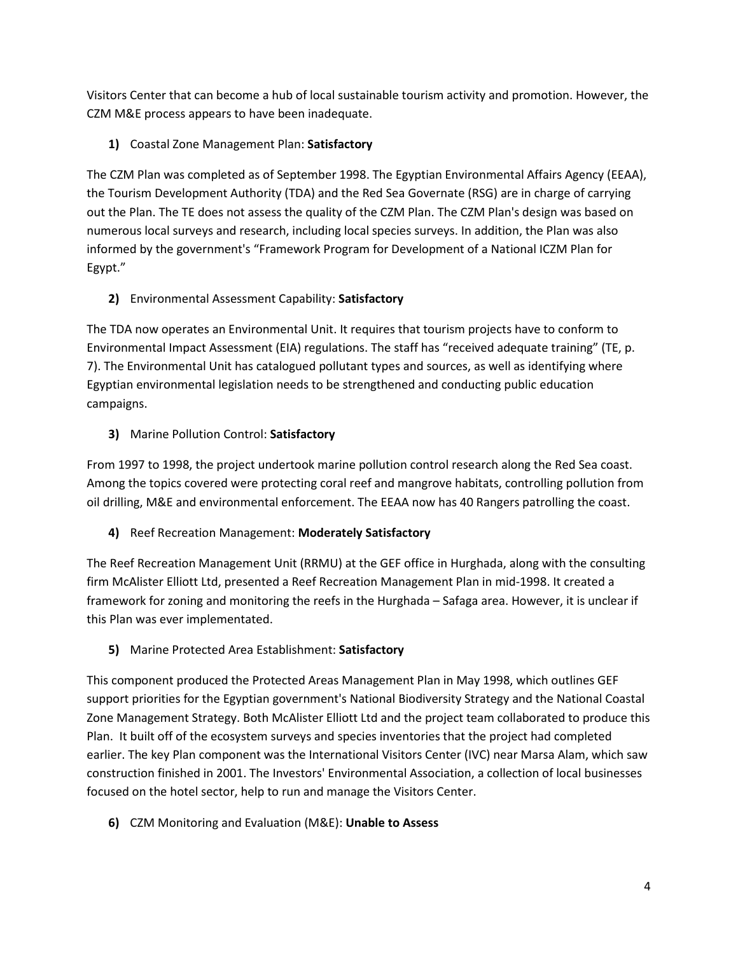Visitors Center that can become a hub of local sustainable tourism activity and promotion. However, the CZM M&E process appears to have been inadequate.

**1)** Coastal Zone Management Plan: **Satisfactory**

The CZM Plan was completed as of September 1998. The Egyptian Environmental Affairs Agency (EEAA), the Tourism Development Authority (TDA) and the Red Sea Governate (RSG) are in charge of carrying out the Plan. The TE does not assess the quality of the CZM Plan. The CZM Plan's design was based on numerous local surveys and research, including local species surveys. In addition, the Plan was also informed by the government's "Framework Program for Development of a National ICZM Plan for Egypt."

### **2)** Environmental Assessment Capability: **Satisfactory**

The TDA now operates an Environmental Unit. It requires that tourism projects have to conform to Environmental Impact Assessment (EIA) regulations. The staff has "received adequate training" (TE, p. 7). The Environmental Unit has catalogued pollutant types and sources, as well as identifying where Egyptian environmental legislation needs to be strengthened and conducting public education campaigns.

### **3)** Marine Pollution Control: **Satisfactory**

From 1997 to 1998, the project undertook marine pollution control research along the Red Sea coast. Among the topics covered were protecting coral reef and mangrove habitats, controlling pollution from oil drilling, M&E and environmental enforcement. The EEAA now has 40 Rangers patrolling the coast.

### **4)** Reef Recreation Management: **Moderately Satisfactory**

The Reef Recreation Management Unit (RRMU) at the GEF office in Hurghada, along with the consulting firm McAlister Elliott Ltd, presented a Reef Recreation Management Plan in mid-1998. It created a framework for zoning and monitoring the reefs in the Hurghada – Safaga area. However, it is unclear if this Plan was ever implementated.

### **5)** Marine Protected Area Establishment: **Satisfactory**

This component produced the Protected Areas Management Plan in May 1998, which outlines GEF support priorities for the Egyptian government's National Biodiversity Strategy and the National Coastal Zone Management Strategy. Both McAlister Elliott Ltd and the project team collaborated to produce this Plan. It built off of the ecosystem surveys and species inventories that the project had completed earlier. The key Plan component was the International Visitors Center (IVC) near Marsa Alam, which saw construction finished in 2001. The Investors' Environmental Association, a collection of local businesses focused on the hotel sector, help to run and manage the Visitors Center.

**6)** CZM Monitoring and Evaluation (M&E): **Unable to Assess**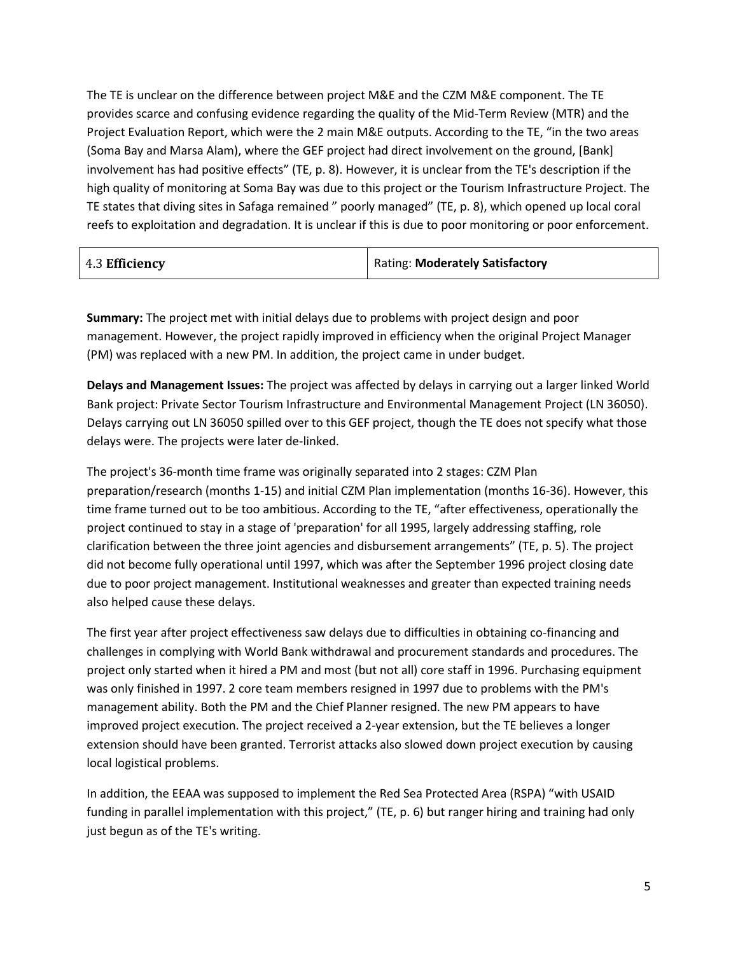The TE is unclear on the difference between project M&E and the CZM M&E component. The TE provides scarce and confusing evidence regarding the quality of the Mid-Term Review (MTR) and the Project Evaluation Report, which were the 2 main M&E outputs. According to the TE, "in the two areas (Soma Bay and Marsa Alam), where the GEF project had direct involvement on the ground, [Bank] involvement has had positive effects" (TE, p. 8). However, it is unclear from the TE's description if the high quality of monitoring at Soma Bay was due to this project or the Tourism Infrastructure Project. The TE states that diving sites in Safaga remained " poorly managed" (TE, p. 8), which opened up local coral reefs to exploitation and degradation. It is unclear if this is due to poor monitoring or poor enforcement.

| 4.3 Efficiency | <b>Rating: Moderately Satisfactory</b> |
|----------------|----------------------------------------|
|----------------|----------------------------------------|

**Summary:** The project met with initial delays due to problems with project design and poor management. However, the project rapidly improved in efficiency when the original Project Manager (PM) was replaced with a new PM. In addition, the project came in under budget.

**Delays and Management Issues:** The project was affected by delays in carrying out a larger linked World Bank project: Private Sector Tourism Infrastructure and Environmental Management Project (LN 36050). Delays carrying out LN 36050 spilled over to this GEF project, though the TE does not specify what those delays were. The projects were later de-linked.

The project's 36-month time frame was originally separated into 2 stages: CZM Plan preparation/research (months 1-15) and initial CZM Plan implementation (months 16-36). However, this time frame turned out to be too ambitious. According to the TE, "after effectiveness, operationally the project continued to stay in a stage of 'preparation' for all 1995, largely addressing staffing, role clarification between the three joint agencies and disbursement arrangements" (TE, p. 5). The project did not become fully operational until 1997, which was after the September 1996 project closing date due to poor project management. Institutional weaknesses and greater than expected training needs also helped cause these delays.

The first year after project effectiveness saw delays due to difficulties in obtaining co-financing and challenges in complying with World Bank withdrawal and procurement standards and procedures. The project only started when it hired a PM and most (but not all) core staff in 1996. Purchasing equipment was only finished in 1997. 2 core team members resigned in 1997 due to problems with the PM's management ability. Both the PM and the Chief Planner resigned. The new PM appears to have improved project execution. The project received a 2-year extension, but the TE believes a longer extension should have been granted. Terrorist attacks also slowed down project execution by causing local logistical problems.

In addition, the EEAA was supposed to implement the Red Sea Protected Area (RSPA) "with USAID funding in parallel implementation with this project," (TE, p. 6) but ranger hiring and training had only just begun as of the TE's writing.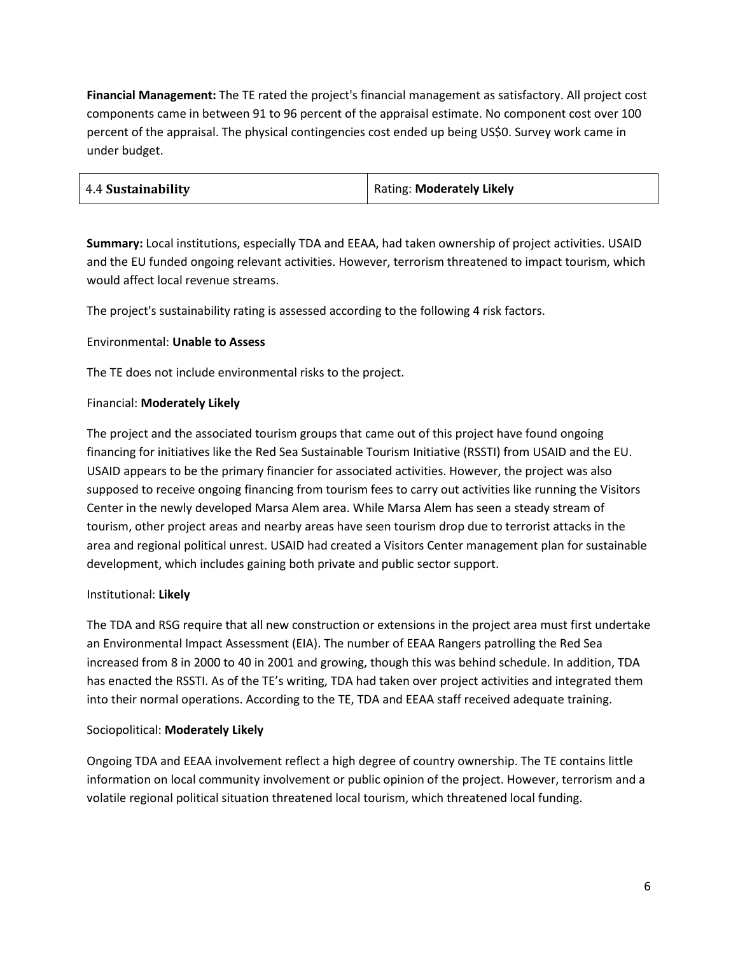**Financial Management:** The TE rated the project's financial management as satisfactory. All project cost components came in between 91 to 96 percent of the appraisal estimate. No component cost over 100 percent of the appraisal. The physical contingencies cost ended up being US\$0. Survey work came in under budget.

| 4.4 Sustainability | Rating: Moderately Likely |
|--------------------|---------------------------|
|--------------------|---------------------------|

**Summary:** Local institutions, especially TDA and EEAA, had taken ownership of project activities. USAID and the EU funded ongoing relevant activities. However, terrorism threatened to impact tourism, which would affect local revenue streams.

The project's sustainability rating is assessed according to the following 4 risk factors.

#### Environmental: **Unable to Assess**

The TE does not include environmental risks to the project.

#### Financial: **Moderately Likely**

The project and the associated tourism groups that came out of this project have found ongoing financing for initiatives like the Red Sea Sustainable Tourism Initiative (RSSTI) from USAID and the EU. USAID appears to be the primary financier for associated activities. However, the project was also supposed to receive ongoing financing from tourism fees to carry out activities like running the Visitors Center in the newly developed Marsa Alem area. While Marsa Alem has seen a steady stream of tourism, other project areas and nearby areas have seen tourism drop due to terrorist attacks in the area and regional political unrest. USAID had created a Visitors Center management plan for sustainable development, which includes gaining both private and public sector support.

#### Institutional: **Likely**

The TDA and RSG require that all new construction or extensions in the project area must first undertake an Environmental Impact Assessment (EIA). The number of EEAA Rangers patrolling the Red Sea increased from 8 in 2000 to 40 in 2001 and growing, though this was behind schedule. In addition, TDA has enacted the RSSTI. As of the TE's writing, TDA had taken over project activities and integrated them into their normal operations. According to the TE, TDA and EEAA staff received adequate training.

#### Sociopolitical: **Moderately Likely**

Ongoing TDA and EEAA involvement reflect a high degree of country ownership. The TE contains little information on local community involvement or public opinion of the project. However, terrorism and a volatile regional political situation threatened local tourism, which threatened local funding.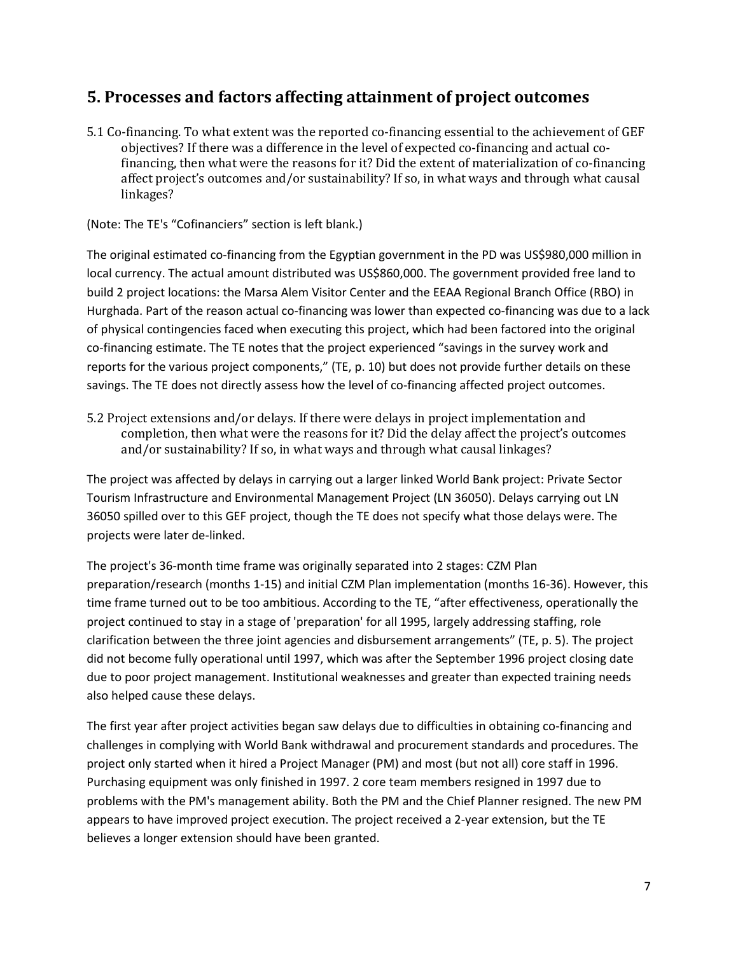### **5. Processes and factors affecting attainment of project outcomes**

5.1 Co-financing. To what extent was the reported co-financing essential to the achievement of GEF objectives? If there was a difference in the level of expected co-financing and actual cofinancing, then what were the reasons for it? Did the extent of materialization of co-financing affect project's outcomes and/or sustainability? If so, in what ways and through what causal linkages?

(Note: The TE's "Cofinanciers" section is left blank.)

The original estimated co-financing from the Egyptian government in the PD was US\$980,000 million in local currency. The actual amount distributed was US\$860,000. The government provided free land to build 2 project locations: the Marsa Alem Visitor Center and the EEAA Regional Branch Office (RBO) in Hurghada. Part of the reason actual co-financing was lower than expected co-financing was due to a lack of physical contingencies faced when executing this project, which had been factored into the original co-financing estimate. The TE notes that the project experienced "savings in the survey work and reports for the various project components," (TE, p. 10) but does not provide further details on these savings. The TE does not directly assess how the level of co-financing affected project outcomes.

5.2 Project extensions and/or delays. If there were delays in project implementation and completion, then what were the reasons for it? Did the delay affect the project's outcomes and/or sustainability? If so, in what ways and through what causal linkages?

The project was affected by delays in carrying out a larger linked World Bank project: Private Sector Tourism Infrastructure and Environmental Management Project (LN 36050). Delays carrying out LN 36050 spilled over to this GEF project, though the TE does not specify what those delays were. The projects were later de-linked.

The project's 36-month time frame was originally separated into 2 stages: CZM Plan preparation/research (months 1-15) and initial CZM Plan implementation (months 16-36). However, this time frame turned out to be too ambitious. According to the TE, "after effectiveness, operationally the project continued to stay in a stage of 'preparation' for all 1995, largely addressing staffing, role clarification between the three joint agencies and disbursement arrangements" (TE, p. 5). The project did not become fully operational until 1997, which was after the September 1996 project closing date due to poor project management. Institutional weaknesses and greater than expected training needs also helped cause these delays.

The first year after project activities began saw delays due to difficulties in obtaining co-financing and challenges in complying with World Bank withdrawal and procurement standards and procedures. The project only started when it hired a Project Manager (PM) and most (but not all) core staff in 1996. Purchasing equipment was only finished in 1997. 2 core team members resigned in 1997 due to problems with the PM's management ability. Both the PM and the Chief Planner resigned. The new PM appears to have improved project execution. The project received a 2-year extension, but the TE believes a longer extension should have been granted.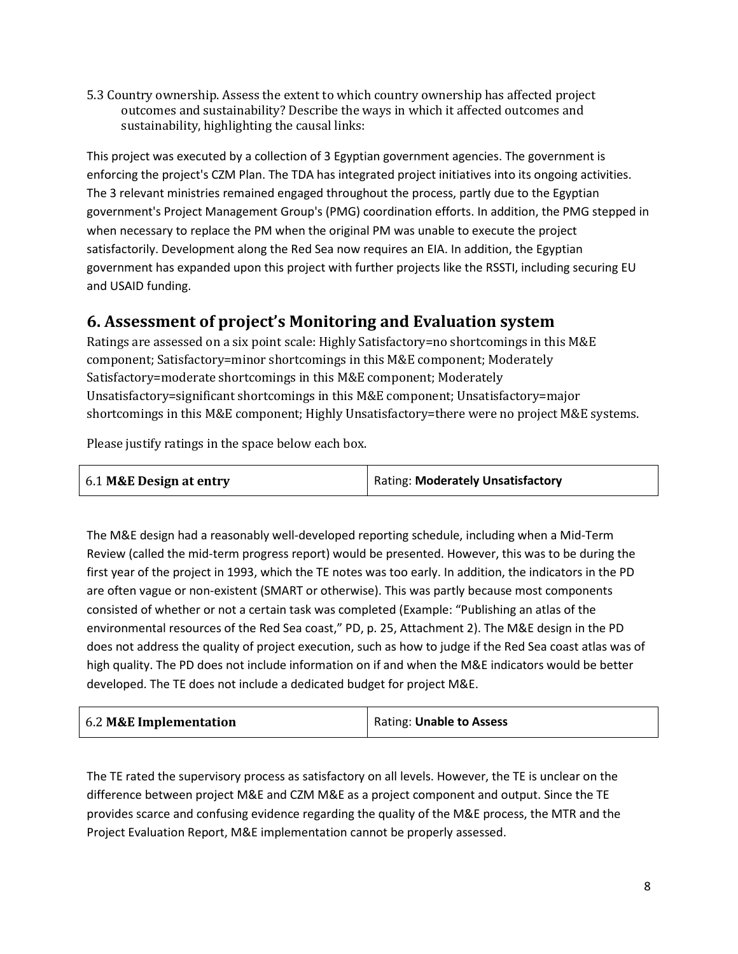5.3 Country ownership. Assess the extent to which country ownership has affected project outcomes and sustainability? Describe the ways in which it affected outcomes and sustainability, highlighting the causal links:

This project was executed by a collection of 3 Egyptian government agencies. The government is enforcing the project's CZM Plan. The TDA has integrated project initiatives into its ongoing activities. The 3 relevant ministries remained engaged throughout the process, partly due to the Egyptian government's Project Management Group's (PMG) coordination efforts. In addition, the PMG stepped in when necessary to replace the PM when the original PM was unable to execute the project satisfactorily. Development along the Red Sea now requires an EIA. In addition, the Egyptian government has expanded upon this project with further projects like the RSSTI, including securing EU and USAID funding.

### **6. Assessment of project's Monitoring and Evaluation system**

Ratings are assessed on a six point scale: Highly Satisfactory=no shortcomings in this M&E component; Satisfactory=minor shortcomings in this M&E component; Moderately Satisfactory=moderate shortcomings in this M&E component; Moderately Unsatisfactory=significant shortcomings in this M&E component; Unsatisfactory=major shortcomings in this M&E component; Highly Unsatisfactory=there were no project M&E systems.

Please justify ratings in the space below each box.

| 6.1 M&E Design at entry | Rating: Moderately Unsatisfactory |
|-------------------------|-----------------------------------|
|                         |                                   |

The M&E design had a reasonably well-developed reporting schedule, including when a Mid-Term Review (called the mid-term progress report) would be presented. However, this was to be during the first year of the project in 1993, which the TE notes was too early. In addition, the indicators in the PD are often vague or non-existent (SMART or otherwise). This was partly because most components consisted of whether or not a certain task was completed (Example: "Publishing an atlas of the environmental resources of the Red Sea coast," PD, p. 25, Attachment 2). The M&E design in the PD does not address the quality of project execution, such as how to judge if the Red Sea coast atlas was of high quality. The PD does not include information on if and when the M&E indicators would be better developed. The TE does not include a dedicated budget for project M&E.

| 6.2 M&E Implementation | Rating: Unable to Assess |
|------------------------|--------------------------|
|------------------------|--------------------------|

The TE rated the supervisory process as satisfactory on all levels. However, the TE is unclear on the difference between project M&E and CZM M&E as a project component and output. Since the TE provides scarce and confusing evidence regarding the quality of the M&E process, the MTR and the Project Evaluation Report, M&E implementation cannot be properly assessed.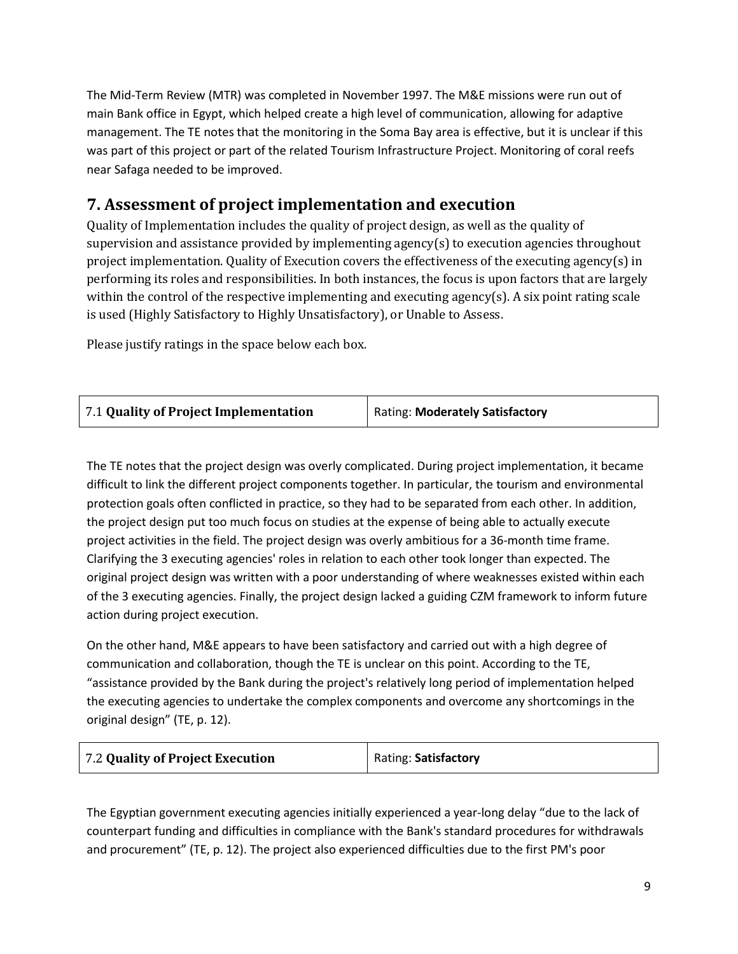The Mid-Term Review (MTR) was completed in November 1997. The M&E missions were run out of main Bank office in Egypt, which helped create a high level of communication, allowing for adaptive management. The TE notes that the monitoring in the Soma Bay area is effective, but it is unclear if this was part of this project or part of the related Tourism Infrastructure Project. Monitoring of coral reefs near Safaga needed to be improved.

# **7. Assessment of project implementation and execution**

Quality of Implementation includes the quality of project design, as well as the quality of supervision and assistance provided by implementing agency(s) to execution agencies throughout project implementation. Quality of Execution covers the effectiveness of the executing agency(s) in performing its roles and responsibilities. In both instances, the focus is upon factors that are largely within the control of the respective implementing and executing agency(s). A six point rating scale is used (Highly Satisfactory to Highly Unsatisfactory), or Unable to Assess.

Please justify ratings in the space below each box.

| <b>Rating: Moderately Satisfactory</b><br>7.1 Quality of Project Implementation |  |
|---------------------------------------------------------------------------------|--|
|---------------------------------------------------------------------------------|--|

The TE notes that the project design was overly complicated. During project implementation, it became difficult to link the different project components together. In particular, the tourism and environmental protection goals often conflicted in practice, so they had to be separated from each other. In addition, the project design put too much focus on studies at the expense of being able to actually execute project activities in the field. The project design was overly ambitious for a 36-month time frame. Clarifying the 3 executing agencies' roles in relation to each other took longer than expected. The original project design was written with a poor understanding of where weaknesses existed within each of the 3 executing agencies. Finally, the project design lacked a guiding CZM framework to inform future action during project execution.

On the other hand, M&E appears to have been satisfactory and carried out with a high degree of communication and collaboration, though the TE is unclear on this point. According to the TE, "assistance provided by the Bank during the project's relatively long period of implementation helped the executing agencies to undertake the complex components and overcome any shortcomings in the original design" (TE, p. 12).

| 7.2 Quality of Project Execution | Rating: Satisfactory |
|----------------------------------|----------------------|
|----------------------------------|----------------------|

The Egyptian government executing agencies initially experienced a year-long delay "due to the lack of counterpart funding and difficulties in compliance with the Bank's standard procedures for withdrawals and procurement" (TE, p. 12). The project also experienced difficulties due to the first PM's poor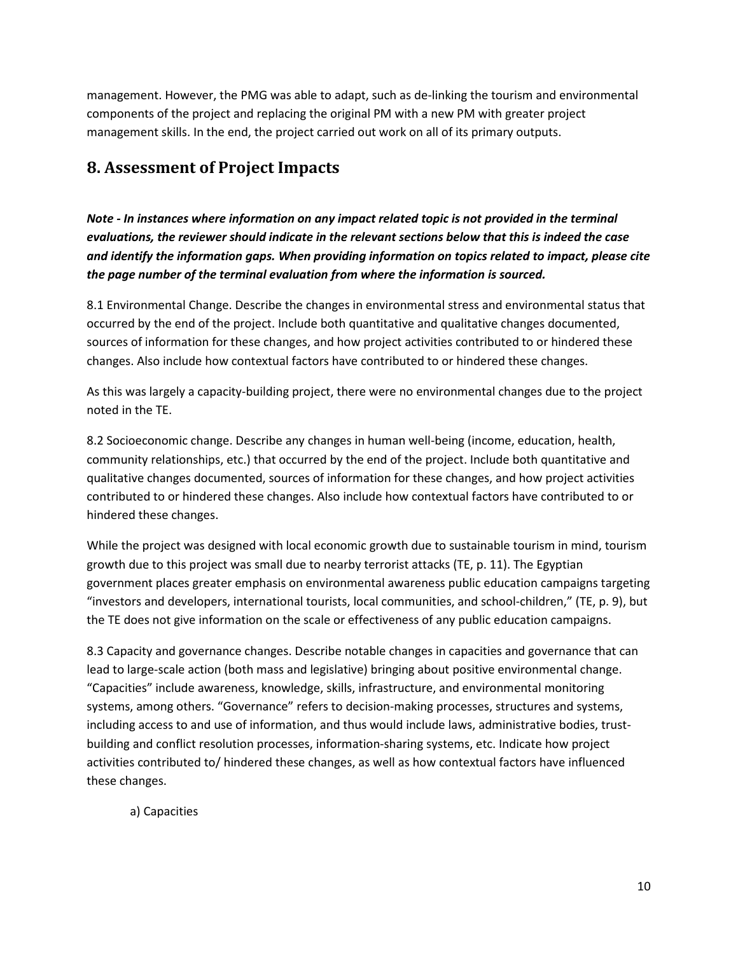management. However, the PMG was able to adapt, such as de-linking the tourism and environmental components of the project and replacing the original PM with a new PM with greater project management skills. In the end, the project carried out work on all of its primary outputs.

## **8. Assessment of Project Impacts**

*Note - In instances where information on any impact related topic is not provided in the terminal evaluations, the reviewer should indicate in the relevant sections below that this is indeed the case and identify the information gaps. When providing information on topics related to impact, please cite the page number of the terminal evaluation from where the information is sourced.*

8.1 Environmental Change. Describe the changes in environmental stress and environmental status that occurred by the end of the project. Include both quantitative and qualitative changes documented, sources of information for these changes, and how project activities contributed to or hindered these changes. Also include how contextual factors have contributed to or hindered these changes.

As this was largely a capacity-building project, there were no environmental changes due to the project noted in the TE.

8.2 Socioeconomic change. Describe any changes in human well-being (income, education, health, community relationships, etc.) that occurred by the end of the project. Include both quantitative and qualitative changes documented, sources of information for these changes, and how project activities contributed to or hindered these changes. Also include how contextual factors have contributed to or hindered these changes.

While the project was designed with local economic growth due to sustainable tourism in mind, tourism growth due to this project was small due to nearby terrorist attacks (TE, p. 11). The Egyptian government places greater emphasis on environmental awareness public education campaigns targeting "investors and developers, international tourists, local communities, and school-children," (TE, p. 9), but the TE does not give information on the scale or effectiveness of any public education campaigns.

8.3 Capacity and governance changes. Describe notable changes in capacities and governance that can lead to large-scale action (both mass and legislative) bringing about positive environmental change. "Capacities" include awareness, knowledge, skills, infrastructure, and environmental monitoring systems, among others. "Governance" refers to decision-making processes, structures and systems, including access to and use of information, and thus would include laws, administrative bodies, trustbuilding and conflict resolution processes, information-sharing systems, etc. Indicate how project activities contributed to/ hindered these changes, as well as how contextual factors have influenced these changes.

a) Capacities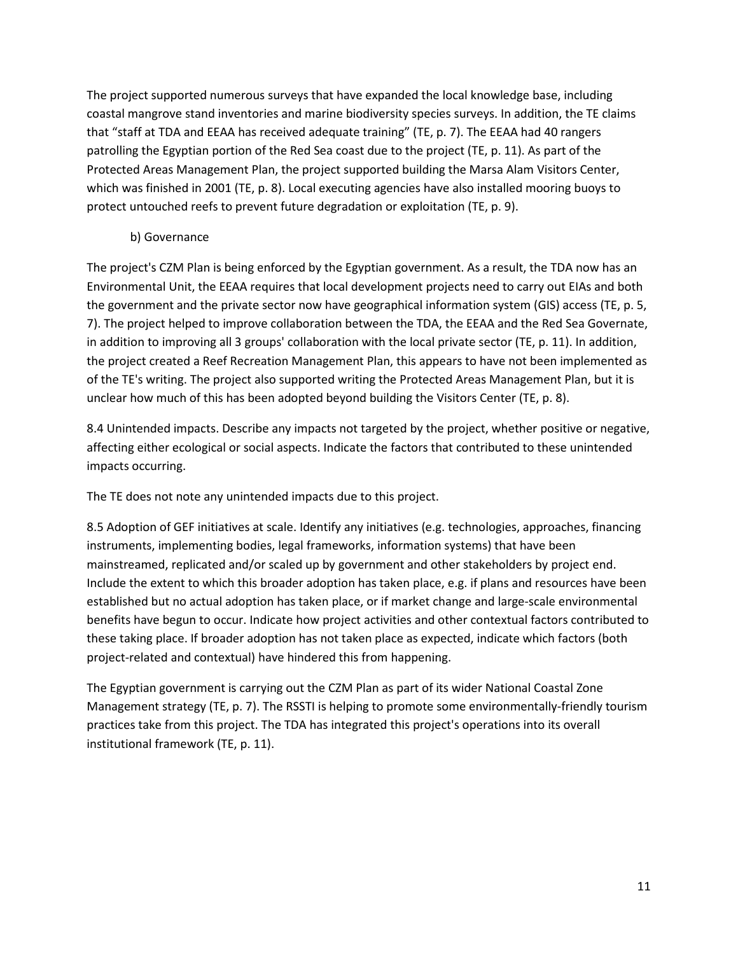The project supported numerous surveys that have expanded the local knowledge base, including coastal mangrove stand inventories and marine biodiversity species surveys. In addition, the TE claims that "staff at TDA and EEAA has received adequate training" (TE, p. 7). The EEAA had 40 rangers patrolling the Egyptian portion of the Red Sea coast due to the project (TE, p. 11). As part of the Protected Areas Management Plan, the project supported building the Marsa Alam Visitors Center, which was finished in 2001 (TE, p. 8). Local executing agencies have also installed mooring buoys to protect untouched reefs to prevent future degradation or exploitation (TE, p. 9).

#### b) Governance

The project's CZM Plan is being enforced by the Egyptian government. As a result, the TDA now has an Environmental Unit, the EEAA requires that local development projects need to carry out EIAs and both the government and the private sector now have geographical information system (GIS) access (TE, p. 5, 7). The project helped to improve collaboration between the TDA, the EEAA and the Red Sea Governate, in addition to improving all 3 groups' collaboration with the local private sector (TE, p. 11). In addition, the project created a Reef Recreation Management Plan, this appears to have not been implemented as of the TE's writing. The project also supported writing the Protected Areas Management Plan, but it is unclear how much of this has been adopted beyond building the Visitors Center (TE, p. 8).

8.4 Unintended impacts. Describe any impacts not targeted by the project, whether positive or negative, affecting either ecological or social aspects. Indicate the factors that contributed to these unintended impacts occurring.

The TE does not note any unintended impacts due to this project.

8.5 Adoption of GEF initiatives at scale. Identify any initiatives (e.g. technologies, approaches, financing instruments, implementing bodies, legal frameworks, information systems) that have been mainstreamed, replicated and/or scaled up by government and other stakeholders by project end. Include the extent to which this broader adoption has taken place, e.g. if plans and resources have been established but no actual adoption has taken place, or if market change and large-scale environmental benefits have begun to occur. Indicate how project activities and other contextual factors contributed to these taking place. If broader adoption has not taken place as expected, indicate which factors (both project-related and contextual) have hindered this from happening.

The Egyptian government is carrying out the CZM Plan as part of its wider National Coastal Zone Management strategy (TE, p. 7). The RSSTI is helping to promote some environmentally-friendly tourism practices take from this project. The TDA has integrated this project's operations into its overall institutional framework (TE, p. 11).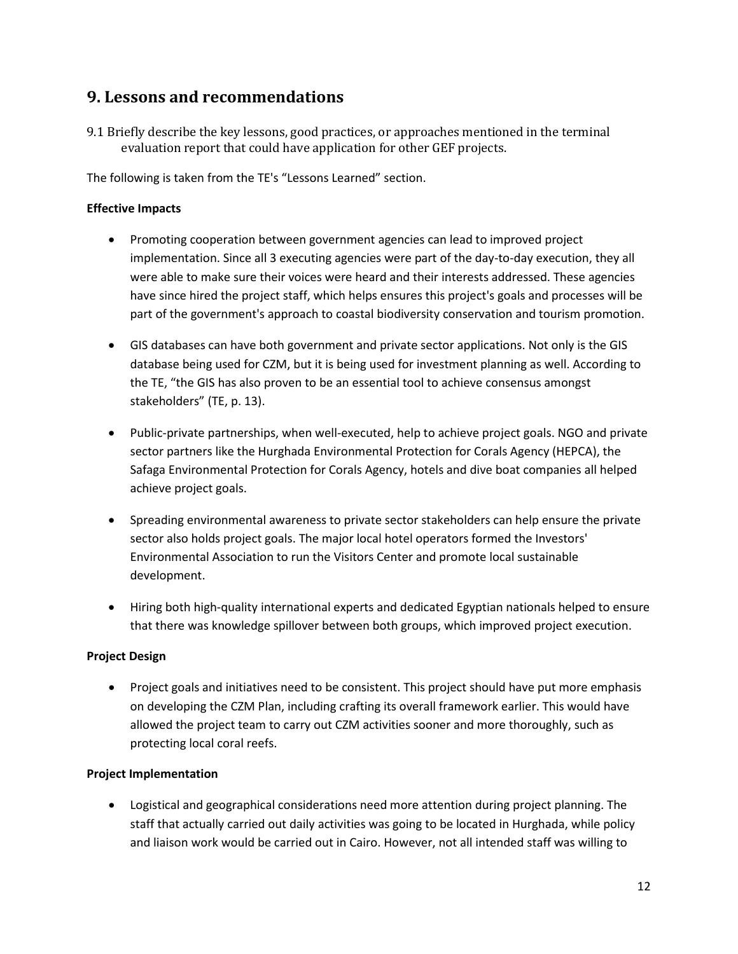### **9. Lessons and recommendations**

9.1 Briefly describe the key lessons, good practices, or approaches mentioned in the terminal evaluation report that could have application for other GEF projects.

The following is taken from the TE's "Lessons Learned" section.

#### **Effective Impacts**

- Promoting cooperation between government agencies can lead to improved project implementation. Since all 3 executing agencies were part of the day-to-day execution, they all were able to make sure their voices were heard and their interests addressed. These agencies have since hired the project staff, which helps ensures this project's goals and processes will be part of the government's approach to coastal biodiversity conservation and tourism promotion.
- GIS databases can have both government and private sector applications. Not only is the GIS database being used for CZM, but it is being used for investment planning as well. According to the TE, "the GIS has also proven to be an essential tool to achieve consensus amongst stakeholders" (TE, p. 13).
- Public-private partnerships, when well-executed, help to achieve project goals. NGO and private sector partners like the Hurghada Environmental Protection for Corals Agency (HEPCA), the Safaga Environmental Protection for Corals Agency, hotels and dive boat companies all helped achieve project goals.
- Spreading environmental awareness to private sector stakeholders can help ensure the private sector also holds project goals. The major local hotel operators formed the Investors' Environmental Association to run the Visitors Center and promote local sustainable development.
- Hiring both high-quality international experts and dedicated Egyptian nationals helped to ensure that there was knowledge spillover between both groups, which improved project execution.

#### **Project Design**

• Project goals and initiatives need to be consistent. This project should have put more emphasis on developing the CZM Plan, including crafting its overall framework earlier. This would have allowed the project team to carry out CZM activities sooner and more thoroughly, such as protecting local coral reefs.

#### **Project Implementation**

• Logistical and geographical considerations need more attention during project planning. The staff that actually carried out daily activities was going to be located in Hurghada, while policy and liaison work would be carried out in Cairo. However, not all intended staff was willing to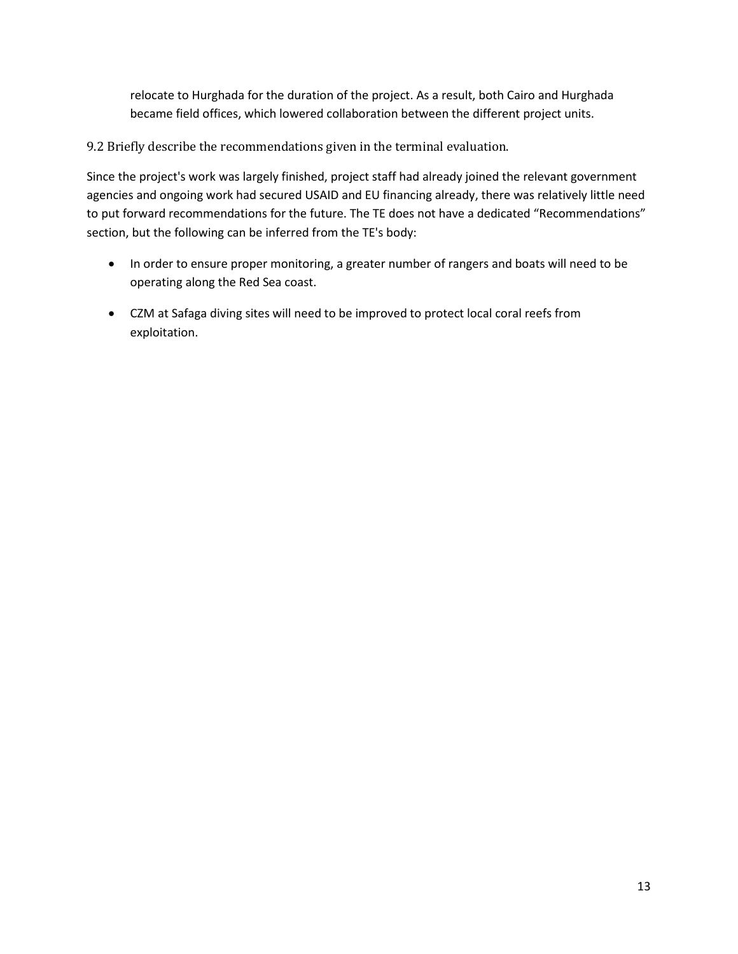relocate to Hurghada for the duration of the project. As a result, both Cairo and Hurghada became field offices, which lowered collaboration between the different project units.

9.2 Briefly describe the recommendations given in the terminal evaluation.

Since the project's work was largely finished, project staff had already joined the relevant government agencies and ongoing work had secured USAID and EU financing already, there was relatively little need to put forward recommendations for the future. The TE does not have a dedicated "Recommendations" section, but the following can be inferred from the TE's body:

- In order to ensure proper monitoring, a greater number of rangers and boats will need to be operating along the Red Sea coast.
- CZM at Safaga diving sites will need to be improved to protect local coral reefs from exploitation.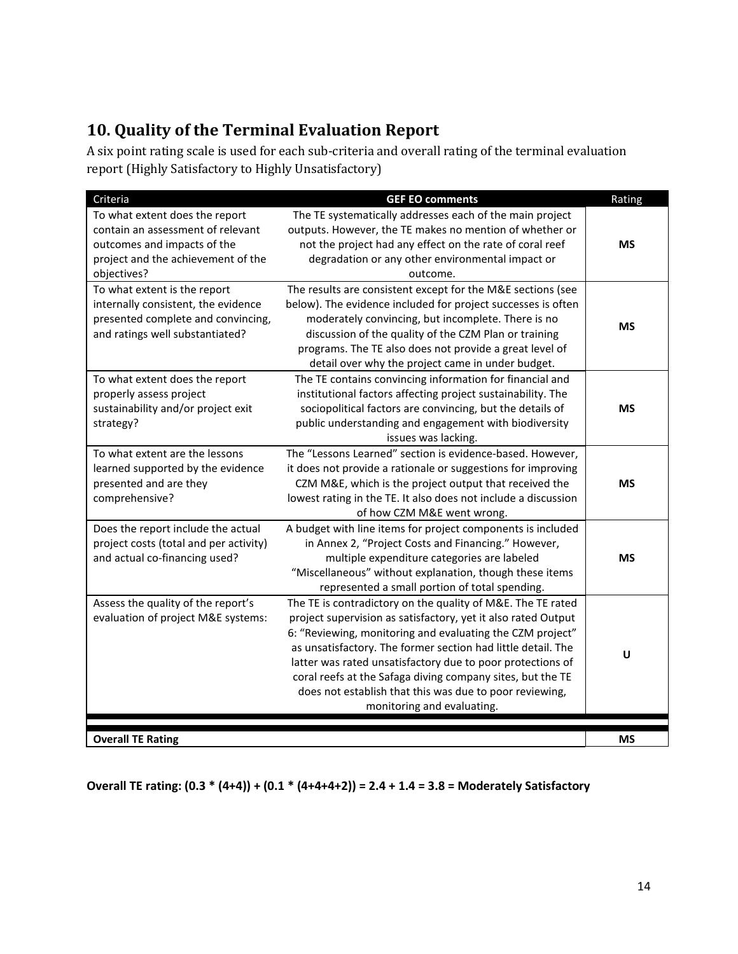# **10. Quality of the Terminal Evaluation Report**

A six point rating scale is used for each sub-criteria and overall rating of the terminal evaluation report (Highly Satisfactory to Highly Unsatisfactory)

| Criteria                                                                                                                                     | <b>GEF EO comments</b>                                                                                                                                                                                                                                                                                                                                                                                                                                                         | Rating    |
|----------------------------------------------------------------------------------------------------------------------------------------------|--------------------------------------------------------------------------------------------------------------------------------------------------------------------------------------------------------------------------------------------------------------------------------------------------------------------------------------------------------------------------------------------------------------------------------------------------------------------------------|-----------|
| To what extent does the report<br>contain an assessment of relevant                                                                          | The TE systematically addresses each of the main project<br>outputs. However, the TE makes no mention of whether or                                                                                                                                                                                                                                                                                                                                                            |           |
| outcomes and impacts of the<br>project and the achievement of the<br>objectives?                                                             | not the project had any effect on the rate of coral reef<br>degradation or any other environmental impact or<br>outcome.                                                                                                                                                                                                                                                                                                                                                       | <b>MS</b> |
| To what extent is the report<br>internally consistent, the evidence<br>presented complete and convincing,<br>and ratings well substantiated? | The results are consistent except for the M&E sections (see<br>below). The evidence included for project successes is often<br>moderately convincing, but incomplete. There is no<br>discussion of the quality of the CZM Plan or training<br>programs. The TE also does not provide a great level of<br>detail over why the project came in under budget.                                                                                                                     | <b>MS</b> |
| To what extent does the report<br>properly assess project<br>sustainability and/or project exit<br>strategy?                                 | The TE contains convincing information for financial and<br>institutional factors affecting project sustainability. The<br>sociopolitical factors are convincing, but the details of<br>public understanding and engagement with biodiversity<br>issues was lacking.                                                                                                                                                                                                           | <b>MS</b> |
| To what extent are the lessons<br>learned supported by the evidence<br>presented and are they<br>comprehensive?                              | The "Lessons Learned" section is evidence-based. However,<br>it does not provide a rationale or suggestions for improving<br>CZM M&E, which is the project output that received the<br>lowest rating in the TE. It also does not include a discussion<br>of how CZM M&E went wrong.                                                                                                                                                                                            | <b>MS</b> |
| Does the report include the actual<br>project costs (total and per activity)<br>and actual co-financing used?                                | A budget with line items for project components is included<br>in Annex 2, "Project Costs and Financing." However,<br>multiple expenditure categories are labeled<br>"Miscellaneous" without explanation, though these items<br>represented a small portion of total spending.                                                                                                                                                                                                 | <b>MS</b> |
| Assess the quality of the report's<br>evaluation of project M&E systems:                                                                     | The TE is contradictory on the quality of M&E. The TE rated<br>project supervision as satisfactory, yet it also rated Output<br>6: "Reviewing, monitoring and evaluating the CZM project"<br>as unsatisfactory. The former section had little detail. The<br>latter was rated unsatisfactory due to poor protections of<br>coral reefs at the Safaga diving company sites, but the TE<br>does not establish that this was due to poor reviewing,<br>monitoring and evaluating. | U         |
| <b>Overall TE Rating</b>                                                                                                                     |                                                                                                                                                                                                                                                                                                                                                                                                                                                                                | MS        |

**Overall TE rating: (0.3 \* (4+4)) + (0.1 \* (4+4+4+2)) = 2.4 + 1.4 = 3.8 = Moderately Satisfactory**